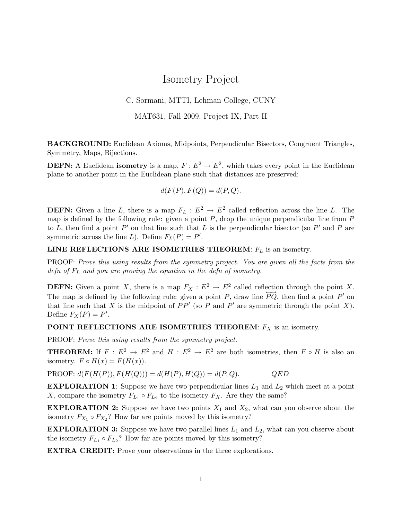## Isometry Project

## C. Sormani, MTTI, Lehman College, CUNY

MAT631, Fall 2009, Project IX, Part II

BACKGROUND: Euclidean Axioms, Midpoints, Perpendicular Bisectors, Congruent Triangles, Symmetry, Maps, Bijections.

**DEFN:** A Euclidean isometry is a map,  $F: E^2 \to E^2$ , which takes every point in the Euclidean plane to another point in the Euclidean plane such that distances are preserved:

$$
d(F(P), F(Q)) = d(P, Q).
$$

**DEFN:** Given a line L, there is a map  $F_L : E^2 \to E^2$  called reflection across the line L. The map is defined by the following rule: given a point  $P$ , drop the unique perpendicular line from  $P$ to L, then find a point  $P'$  on that line such that L is the perpendicular bisector (so  $P'$  and P are symmetric across the line L). Define  $F_L(P) = P'$ .

LINE REFLECTIONS ARE ISOMETRIES THEOREM:  $F_L$  is an isometry.

PROOF: Prove this using results from the symmetry project. You are given all the facts from the defn of  $F<sub>L</sub>$  and you are proving the equation in the defn of isometry.

**DEFN:** Given a point X, there is a map  $F_X : E^2 \to E^2$  called reflection through the point X. The map is defined by the following rule: given a point P, draw line  $\overline{PQ}$ , then find a point P' on that line such that X is the midpoint of  $PP'$  (so P and P' are symmetric through the point X). Define  $F_X(P) = P'$ .

POINT REFLECTIONS ARE ISOMETRIES THEOREM:  $F_X$  is an isometry.

PROOF: Prove this using results from the symmetry project.

**THEOREM:** If  $F : E^2 \to E^2$  and  $H : E^2 \to E^2$  are both isometries, then  $F \circ H$  is also an isometry.  $F \circ H(x) = F(H(x)).$ 

PROOF:  $d(F(H(P)), F(H(Q))) = d(H(P), H(Q)) = d(P, Q).$  QED

**EXPLORATION 1:** Suppose we have two perpendicular lines  $L_1$  and  $L_2$  which meet at a point X, compare the isometry  $F_{L_1} \circ F_{L_2}$  to the isometry  $F_X$ . Are they the same?

**EXPLORATION 2:** Suppose we have two points  $X_1$  and  $X_2$ , what can you observe about the isometry  $F_{X_1} \circ F_{X_2}$ ? How far are points moved by this isometry?

**EXPLORATION 3:** Suppose we have two parallel lines  $L_1$  and  $L_2$ , what can you observe about the isometry  $F_{L_1} \circ F_{L_2}$ ? How far are points moved by this isometry?

EXTRA CREDIT: Prove your observations in the three explorations.